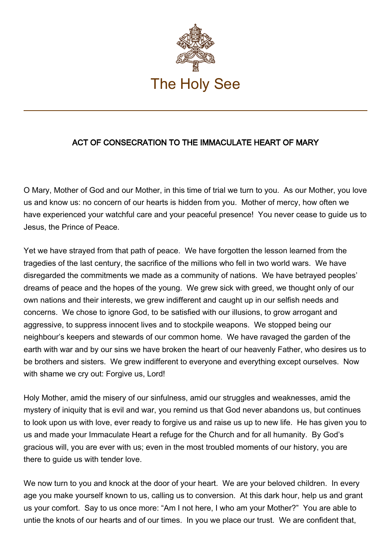

## ACT OF CONSECRATION TO THE IMMACULATE HEART OF MARY

O Mary, Mother of God and our Mother, in this time of trial we turn to you. As our Mother, you love us and know us: no concern of our hearts is hidden from you. Mother of mercy, how often we have experienced your watchful care and your peaceful presence! You never cease to guide us to Jesus, the Prince of Peace.

Yet we have strayed from that path of peace. We have forgotten the lesson learned from the tragedies of the last century, the sacrifice of the millions who fell in two world wars. We have disregarded the commitments we made as a community of nations. We have betrayed peoples' dreams of peace and the hopes of the young. We grew sick with greed, we thought only of our own nations and their interests, we grew indifferent and caught up in our selfish needs and concerns. We chose to ignore God, to be satisfied with our illusions, to grow arrogant and aggressive, to suppress innocent lives and to stockpile weapons. We stopped being our neighbour's keepers and stewards of our common home. We have ravaged the garden of the earth with war and by our sins we have broken the heart of our heavenly Father, who desires us to be brothers and sisters. We grew indifferent to everyone and everything except ourselves. Now with shame we cry out: Forgive us, Lord!

Holy Mother, amid the misery of our sinfulness, amid our struggles and weaknesses, amid the mystery of iniquity that is evil and war, you remind us that God never abandons us, but continues to look upon us with love, ever ready to forgive us and raise us up to new life. He has given you to us and made your Immaculate Heart a refuge for the Church and for all humanity. By God's gracious will, you are ever with us; even in the most troubled moments of our history, you are there to guide us with tender love.

We now turn to you and knock at the door of your heart. We are your beloved children. In every age you make yourself known to us, calling us to conversion. At this dark hour, help us and grant us your comfort. Say to us once more: "Am I not here, I who am your Mother?" You are able to untie the knots of our hearts and of our times. In you we place our trust. We are confident that,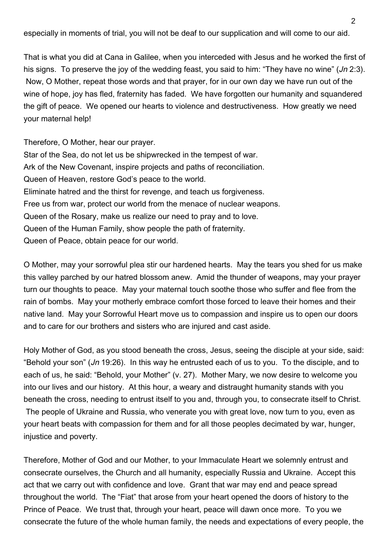especially in moments of trial, you will not be deaf to our supplication and will come to our aid.

That is what you did at Cana in Galilee, when you interceded with Jesus and he worked the first of his signs. To preserve the joy of the wedding feast, you said to him: "They have no wine" (Jn 2:3). Now, O Mother, repeat those words and that prayer, for in our own day we have run out of the wine of hope, joy has fled, fraternity has faded. We have forgotten our humanity and squandered the gift of peace. We opened our hearts to violence and destructiveness. How greatly we need your maternal help!

Therefore, O Mother, hear our prayer. Star of the Sea, do not let us be shipwrecked in the tempest of war. Ark of the New Covenant, inspire projects and paths of reconciliation. Queen of Heaven, restore God's peace to the world. Eliminate hatred and the thirst for revenge, and teach us forgiveness. Free us from war, protect our world from the menace of nuclear weapons. Queen of the Rosary, make us realize our need to pray and to love. Queen of the Human Family, show people the path of fraternity. Queen of Peace, obtain peace for our world.

O Mother, may your sorrowful plea stir our hardened hearts. May the tears you shed for us make this valley parched by our hatred blossom anew. Amid the thunder of weapons, may your prayer turn our thoughts to peace. May your maternal touch soothe those who suffer and flee from the rain of bombs. May your motherly embrace comfort those forced to leave their homes and their native land. May your Sorrowful Heart move us to compassion and inspire us to open our doors and to care for our brothers and sisters who are injured and cast aside.

Holy Mother of God, as you stood beneath the cross, Jesus, seeing the disciple at your side, said: "Behold your son" (Jn 19:26). In this way he entrusted each of us to you. To the disciple, and to each of us, he said: "Behold, your Mother" (v. 27). Mother Mary, we now desire to welcome you into our lives and our history. At this hour, a weary and distraught humanity stands with you beneath the cross, needing to entrust itself to you and, through you, to consecrate itself to Christ. The people of Ukraine and Russia, who venerate you with great love, now turn to you, even as your heart beats with compassion for them and for all those peoples decimated by war, hunger, injustice and poverty.

Therefore, Mother of God and our Mother, to your Immaculate Heart we solemnly entrust and consecrate ourselves, the Church and all humanity, especially Russia and Ukraine. Accept this act that we carry out with confidence and love. Grant that war may end and peace spread throughout the world. The "Fiat" that arose from your heart opened the doors of history to the Prince of Peace. We trust that, through your heart, peace will dawn once more. To you we consecrate the future of the whole human family, the needs and expectations of every people, the